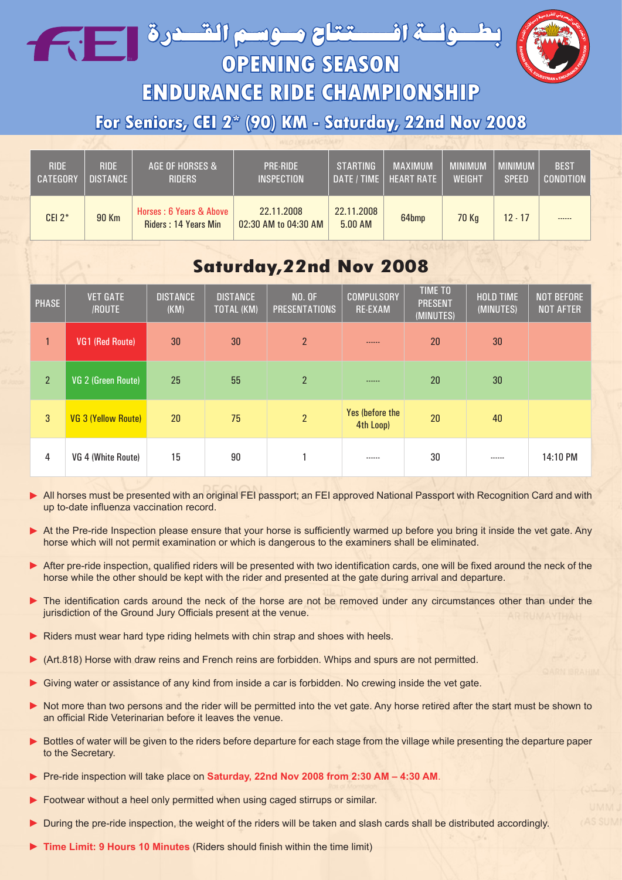بطلة افــــــتقاح مــوسم القــدرة في السام



**OPENING SEASON**

**ENDURANCE RIDE CHAMPIONSHIP**

**For Seniors, CEI 2\* (90) KM - Saturday, 22nd Nov 2008**

| <b>RIDE</b>     | <b>RIDE</b>     | AGE OF HORSES &                                 | <b>PRE-RIDE</b>                    | <b>STARTING</b>       | <b>MAXIMUM</b>    | <b>MINIMUM</b> | <b>MINIMUM</b> | <b>BEST</b>      |
|-----------------|-----------------|-------------------------------------------------|------------------------------------|-----------------------|-------------------|----------------|----------------|------------------|
| <b>CATEGORY</b> | <b>DISTANCE</b> | <b>RIDERS</b>                                   | <b>INSPECTION</b>                  | DATE / TIME           | <b>HEART RATE</b> | WEIGHT         | <b>SPEED</b>   | <b>CONDITION</b> |
| CEI $2^*$       | 90 Km           | Horses: 6 Years & Above<br>Riders: 14 Years Min | 22.11.2008<br>02:30 AM to 04:30 AM | 22.11.2008<br>5.00 AM | 64bmp             | <b>70 Kg</b>   | $12 - 17$      | ------           |

## **Saturday,22nd Nov 2008**

| <b>PHASE</b>   | <b>VET GATE</b><br>/ROUTE  | <b>DISTANCE</b><br>(KM) | <b>DISTANCE</b><br><b>TOTAL (KM)</b> | <b>NO. OF</b><br><b>PRESENTATIONS</b> | <b>COMPULSORY</b><br><b>RE-EXAM</b> | TIME TO<br><b>PRESENT</b><br>(MINUTES) | <b>HOLD TIME</b><br>(MINUTES) | <b>NOT BEFORE</b><br><b>NOT AFTER</b> |
|----------------|----------------------------|-------------------------|--------------------------------------|---------------------------------------|-------------------------------------|----------------------------------------|-------------------------------|---------------------------------------|
| $\mathbf{1}$   | <b>VG1 (Red Route)</b>     | 30                      | 30                                   | $\overline{2}$                        | ------                              | 20                                     | 30                            |                                       |
| 2 <sup>2</sup> | VG 2 (Green Route)         | 25                      | 55                                   | $\overline{2}$                        | ------                              | 20                                     | 30                            |                                       |
| 3              | <b>VG 3 (Yellow Route)</b> | 20                      | 75                                   | $\overline{2}$                        | Yes (before the<br>4th Loop)        | 20                                     | 40                            |                                       |
| 4              | VG 4 (White Route)         | 15                      | 90                                   |                                       | ------                              | 30                                     | ------                        | 14:10 PM                              |

All horses must be presented with an original FEI passport; an FEI approved National Passport with Recognition Card and with up to-date influenza vaccination record. ►

- At the Pre-ride Inspection please ensure that your horse is sufficiently warmed up before you bring it inside the vet gate. Any horse which will not permit examination or which is dangerous to the examiners shall be eliminated. ►
- After pre-ride inspection, qualified riders will be presented with two identification cards, one will be fixed around the neck of the horse while the other should be kept with the rider and presented at the gate during arrival and departure. ►
- The identification cards around the neck of the horse are not be removed under any circumstances other than under the jurisdiction of the Ground Jury Officials present at the venue. ►
- Riders must wear hard type riding helmets with chin strap and shoes with heels. ►
- (Art.818) Horse with draw reins and French reins are forbidden. Whips and spurs are not permitted. ►
- Giving water or assistance of any kind from inside a car is forbidden. No crewing inside the vet gate. ►
- Not more than two persons and the rider will be permitted into the vet gate. Any horse retired after the start must be shown to an official Ride Veterinarian before it leaves the venue. ►
- Bottles of water will be given to the riders before departure for each stage from the village while presenting the departure paper to the Secretary. ►
- Pre-ride inspection will take place on **Saturday, 22nd Nov 2008 from 2:30 AM 4:30 AM**. ►
- Footwear without a heel only permitted when using caged stirrups or similar. ►
- During the pre-ride inspection, the weight of the riders will be taken and slash cards shall be distributed accordingly. ►
- **Time Limit: 9 Hours 10 Minutes** (Riders should finish within the time limit) ►